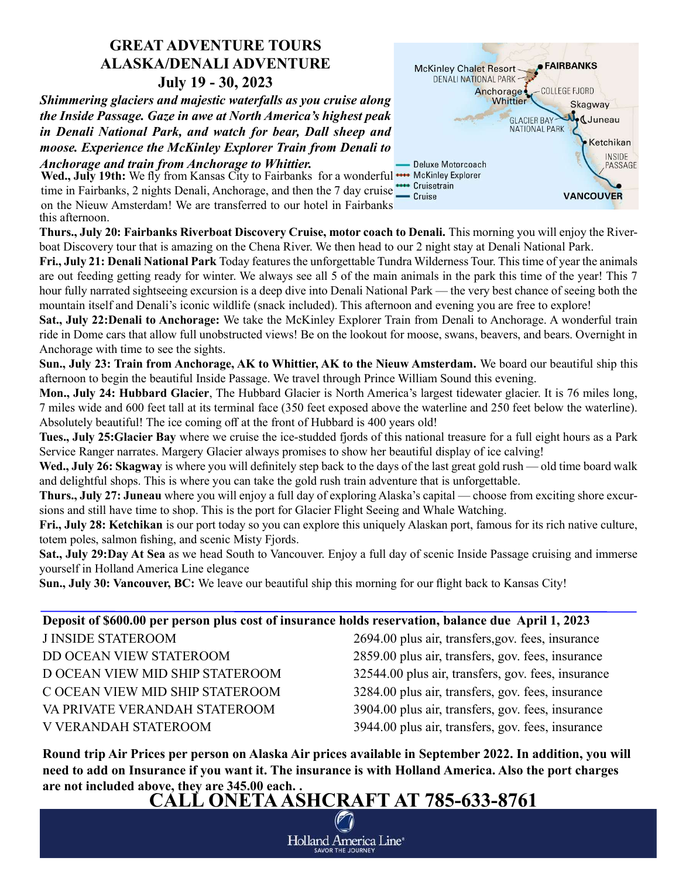## GREAT ADVENTURE TOURS ALASKA/DENALI ADVENTURE July 19 - 30, 2023

Shimmering glaciers and majestic waterfalls as you cruise along the Inside Passage. Gaze in awe at North America's highest peak in Denali National Park, and watch for bear, Dall sheep and moose. Experience the McKinley Explorer Train from Denali to Anchorage and train from Anchorage to Whittier.

Wed., July 19th: We fly from Kansas City to Fairbanks for a wonderful **\*\*\*** McKinley Explorer Wed., July 19th: We hy hold Nansas City to Fairbanks Tor a wonderful time in Fairbanks, 2 nights Denali, Anchorage, and then the 7 day cruise  $\frac{1}{\epsilon}$  Cruisetrain on the Nieuw Amsterdam! We are transferred to our hotel in Fairbanks this afternoon.



Thurs., July 20: Fairbanks Riverboat Discovery Cruise, motor coach to Denali. This morning you will enjoy the Riverboat Discovery tour that is amazing on the Chena River. We then head to our 2 night stay at Denali National Park.

Fri., July 21: Denali National Park Today features the unforgettable Tundra Wilderness Tour. This time of year the animals are out feeding getting ready for winter. We always see all 5 of the main animals in the park this time of the year! This 7 hour fully narrated sightseeing excursion is a deep dive into Denali National Park — the very best chance of seeing both the mountain itself and Denali's iconic wildlife (snack included). This afternoon and evening you are free to explore!

Sat., July 22:Denali to Anchorage: We take the McKinley Explorer Train from Denali to Anchorage. A wonderful train ride in Dome cars that allow full unobstructed views! Be on the lookout for moose, swans, beavers, and bears. Overnight in Anchorage with time to see the sights.

Sun., July 23: Train from Anchorage, AK to Whittier, AK to the Nieuw Amsterdam. We board our beautiful ship this afternoon to begin the beautiful Inside Passage. We travel through Prince William Sound this evening.

Mon., July 24: Hubbard Glacier, The Hubbard Glacier is North America's largest tidewater glacier. It is 76 miles long, 7 miles wide and 600 feet tall at its terminal face (350 feet exposed above the waterline and 250 feet below the waterline). Absolutely beautiful! The ice coming off at the front of Hubbard is 400 years old!

Tues., July 25:Glacier Bay where we cruise the ice-studded fjords of this national treasure for a full eight hours as a Park Service Ranger narrates. Margery Glacier always promises to show her beautiful display of ice calving!

Wed., July 26: Skagway is where you will definitely step back to the days of the last great gold rush — old time board walk and delightful shops. This is where you can take the gold rush train adventure that is unforgettable.

Thurs., July 27: Juneau where you will enjoy a full day of exploring Alaska's capital — choose from exciting shore excursions and still have time to shop. This is the port for Glacier Flight Seeing and Whale Watching.

Fri., July 28: Ketchikan is our port today so you can explore this uniquely Alaskan port, famous for its rich native culture, totem poles, salmon fishing, and scenic Misty Fjords.

Sat., July 29:Day At Sea as we head South to Vancouver. Enjoy a full day of scenic Inside Passage cruising and immerse yourself in Holland America Line elegance

Sun., July 30: Vancouver, BC: We leave our beautiful ship this morning for our flight back to Kansas City!

## Deposit of \$600.00 per person plus cost of insurance holds reservation, balance due April 1, 2023

J INSIDE STATEROOM 2694.00 plus air, transfers,gov. fees, insurance DD OCEAN VIEW STATEROOM 2859.00 plus air, transfers, gov. fees, insurance D OCEAN VIEW MID SHIP STATEROOM 32544.00 plus air, transfers, gov. fees, insurance C OCEAN VIEW MID SHIP STATEROOM 3284.00 plus air, transfers, gov. fees, insurance VA PRIVATE VERANDAH STATEROOM 3904.00 plus air, transfers, gov. fees, insurance V VERANDAH STATEROOM 3944.00 plus air, transfers, gov. fees, insurance

Round trip Air Prices per person on Alaska Air prices available in September 2022. In addition, you will need to add on Insurance if you want it. The insurance is with Holland America. Also the port charges are not included above, they are 345.00 each. .

CALL ONETA ASHCRAFT AT 785-633-8761

Holland America Line\* **SAVOR THE JOURNEY**